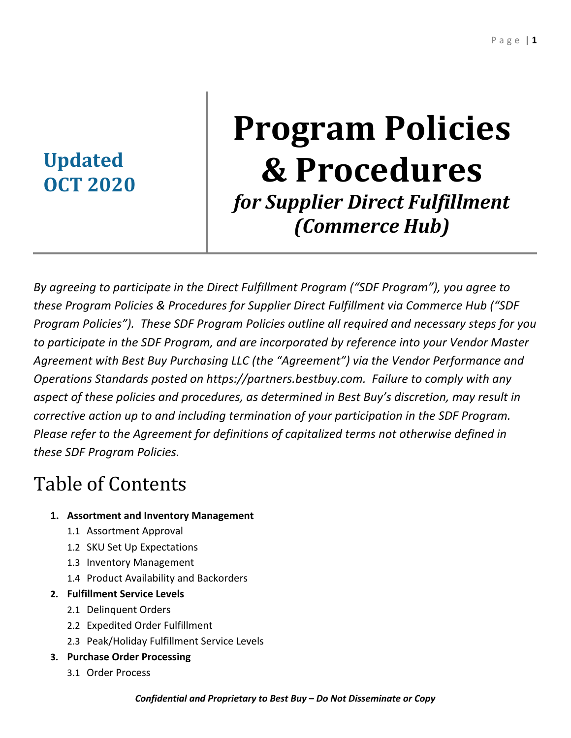# **Updated OCT 2020**

# **Program Policies & Procedures** for Supplier Direct Fulfillment *(Commerce Hub)*

*By agreeing to participate in the Direct Fulfillment Program ("SDF Program"), you agree to these Program Policies & Procedures for Supplier Direct Fulfillment via Commerce Hub ("SDF Program Policies"). These SDF Program Policies outline all required and necessary steps for you to participate in the SDF Program, and are incorporated by reference into your Vendor Master Agreement with Best Buy Purchasing LLC (the "Agreement") via the Vendor Performance and Operations Standards posted on https://partners.bestbuy.com. Failure to comply with any aspect of these policies and procedures, as determined in Best Buy's discretion, may result in corrective action up to and including termination of your participation in the SDF Program. Please refer to the Agreement for definitions of capitalized terms not otherwise defined in these SDF Program Policies.* 

# Table of Contents

## **1. Assortment and Inventory Management**

- 1.1 Assortment Approval
- 1.2 SKU Set Up Expectations
- 1.3 Inventory Management
- 1.4 Product Availability and Backorders
- **2. Fulfillment Service Levels**
	- 2.1 Delinquent Orders
	- 2.2 Expedited Order Fulfillment
	- 2.3 Peak/Holiday Fulfillment Service Levels
- **3. Purchase Order Processing**
	- 3.1 Order Process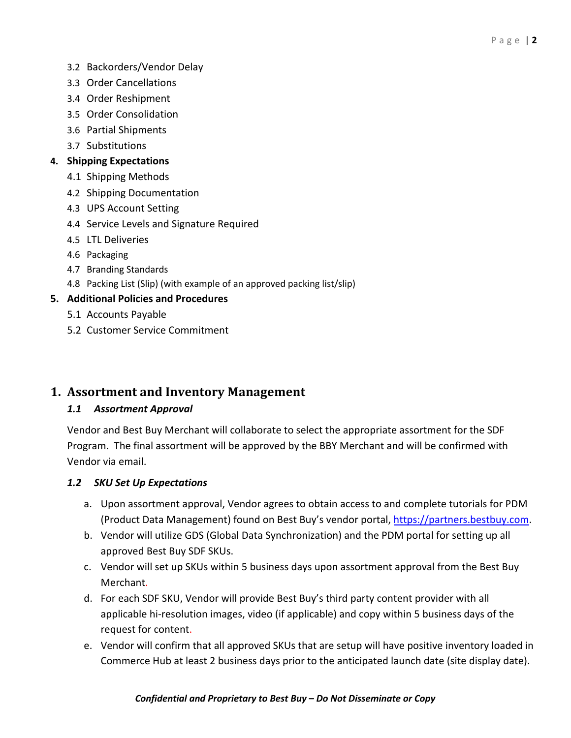- 3.2 Backorders/Vendor Delay
- 3.3 Order Cancellations
- 3.4 Order Reshipment
- 3.5 Order Consolidation
- 3.6 Partial Shipments
- 3.7 Substitutions

#### **4. Shipping Expectations**

- 4.1 Shipping Methods
- 4.2 Shipping Documentation
- 4.3 UPS Account Setting
- 4.4 Service Levels and Signature Required
- 4.5 LTL Deliveries
- 4.6 Packaging
- 4.7 Branding Standards
- 4.8 Packing List (Slip) (with example of an approved packing list/slip)

#### **5. Additional Policies and Procedures**

- 5.1 Accounts Payable
- 5.2 Customer Service Commitment

#### **1. Assortment and Inventory Management**

#### *1.1 Assortment Approval*

Vendor and Best Buy Merchant will collaborate to select the appropriate assortment for the SDF Program. The final assortment will be approved by the BBY Merchant and will be confirmed with Vendor via email.

#### *1.2 SKU Set Up Expectations*

- a. Upon assortment approval, Vendor agrees to obtain access to and complete tutorials for PDM (Product Data Management) found on Best Buy's vendor portal, https://partners.bestbuy.com.
- b. Vendor will utilize GDS (Global Data Synchronization) and the PDM portal for setting up all approved Best Buy SDF SKUs.
- c. Vendor will set up SKUs within 5 business days upon assortment approval from the Best Buy Merchant.
- d. For each SDF SKU, Vendor will provide Best Buy's third party content provider with all applicable hi-resolution images, video (if applicable) and copy within 5 business days of the request for content.
- e. Vendor will confirm that all approved SKUs that are setup will have positive inventory loaded in Commerce Hub at least 2 business days prior to the anticipated launch date (site display date).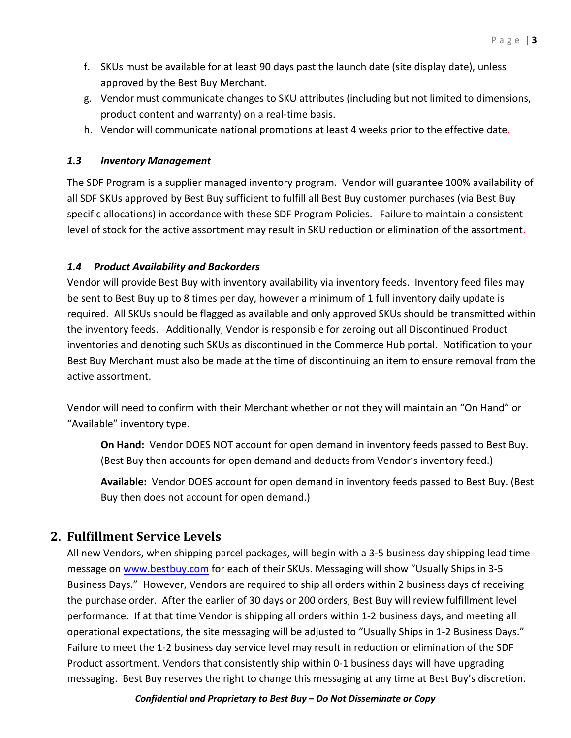- f. SKUs must be available for at least 90 days past the launch date (site display date), unless approved by the Best Buy Merchant.
- g. Vendor must communicate changes to SKU attributes (including but not limited to dimensions, product content and warranty) on a real-time basis.
- h. Vendor will communicate national promotions at least 4 weeks prior to the effective date.

#### *1.3 Inventory Management*

The SDF Program is a supplier managed inventory program. Vendor will guarantee 100% availability of all SDF SKUs approved by Best Buy sufficient to fulfill all Best Buy customer purchases (via Best Buy specific allocations) in accordance with these SDF Program Policies. Failure to maintain a consistent level of stock for the active assortment may result in SKU reduction or elimination of the assortment.

#### *1.4 Product Availability and Backorders*

Vendor will provide Best Buy with inventory availability via inventory feeds. Inventory feed files may be sent to Best Buy up to 8 times per day, however a minimum of 1 full inventory daily update is required. All SKUs should be flagged as available and only approved SKUs should be transmitted within the inventory feeds. Additionally, Vendor is responsible for zeroing out all Discontinued Product inventories and denoting such SKUs as discontinued in the Commerce Hub portal. Notification to your Best Buy Merchant must also be made at the time of discontinuing an item to ensure removal from the active assortment.

Vendor will need to confirm with their Merchant whether or not they will maintain an "On Hand" or "Available" inventory type.

**On Hand:** Vendor DOES NOT account for open demand in inventory feeds passed to Best Buy. (Best Buy then accounts for open demand and deducts from Vendor's inventory feed.)

**Available:** Vendor DOES account for open demand in inventory feeds passed to Best Buy. (Best Buy then does not account for open demand.)

## **2. Fulfillment Service Levels**

All new Vendors, when shipping parcel packages, will begin with a 3-5 business day shipping lead time message on www.bestbuy.com for each of their SKUs. Messaging will show "Usually Ships in 3-5 Business Days." However, Vendors are required to ship all orders within 2 business days of receiving the purchase order. After the earlier of 30 days or 200 orders, Best Buy will review fulfillment level performance. If at that time Vendor is shipping all orders within 1-2 business days, and meeting all operational expectations, the site messaging will be adjusted to "Usually Ships in 1-2 Business Days." Failure to meet the 1-2 business day service level may result in reduction or elimination of the SDF Product assortment. Vendors that consistently ship within 0-1 business days will have upgrading messaging. Best Buy reserves the right to change this messaging at any time at Best Buy's discretion.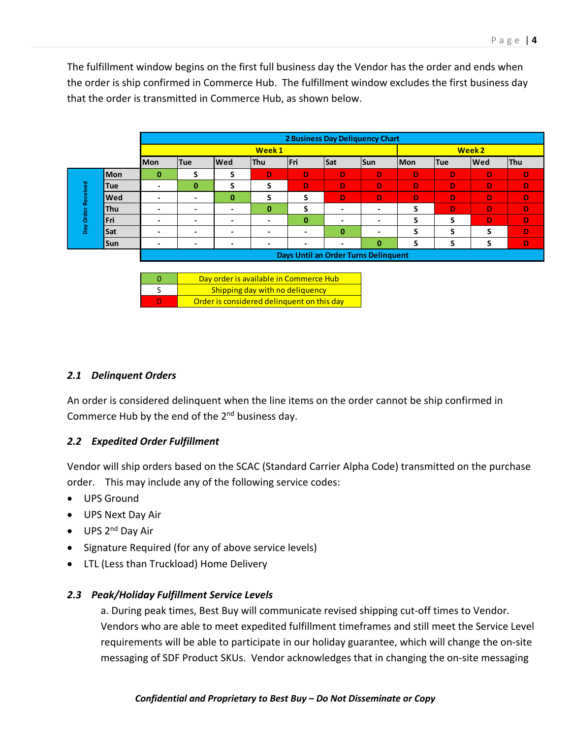The fulfillment window begins on the first full business day the Vendor has the order and ends when the order is ship confirmed in Commerce Hub. The fulfillment window excludes the first business day that the order is transmitted in Commerce Hub, as shown below.

|                    |            |                          | 2 Business Day Deliquency Chart      |            |            |             |          |          |     |            |            |            |
|--------------------|------------|--------------------------|--------------------------------------|------------|------------|-------------|----------|----------|-----|------------|------------|------------|
|                    |            | Week 1                   |                                      |            |            |             |          | Week 2   |     |            |            |            |
|                    |            | <b>Mon</b>               | <b>Tue</b>                           | <b>Wed</b> | <b>Thu</b> | <b>IFri</b> | Sat      | Sun      | Mon | <b>Tue</b> | <b>Wed</b> | <b>Thu</b> |
| Day Order Received | <b>Mon</b> | $\bf{0}$                 | c<br>э                               | c<br>э     | D          | D           | D        | D        | D   | D          | D          | D          |
|                    | <b>Tue</b> | $\blacksquare$           | $\bf{0}$                             | S          | S          | D           | D        | D        | D   | D          | D          | D          |
|                    | <b>Wed</b> |                          |                                      | $\bf{0}$   | S          | S           | D        | D        | D   | D          | D          | D          |
|                    | <b>Thu</b> | $\overline{\phantom{a}}$ |                                      |            | $\bf{0}$   | S           |          |          | S   | D          | D          | D          |
|                    | <b>Fri</b> | $\overline{\phantom{0}}$ |                                      | -          | $\,$       | $\bf{0}$    | -        | -        | S   | S          | D          | D          |
|                    | Sat        | $\overline{\phantom{0}}$ |                                      |            | -          | -           | $\bf{0}$ |          | S   | S          |            | D          |
|                    | Sun        | $\blacksquare$           |                                      |            |            | -           |          | $\bf{0}$ | c   | S          |            | D          |
|                    |            |                          | Days Until an Order Turns Delinquent |            |            |             |          |          |     |            |            |            |

| Day order is available in Commerce Hub     |
|--------------------------------------------|
| Shipping day with no deliquency            |
| Order is considered delinguent on this day |

#### *2.1 Delinquent Orders*

An order is considered delinquent when the line items on the order cannot be ship confirmed in Commerce Hub by the end of the  $2<sup>nd</sup>$  business day.

#### *2.2 Expedited Order Fulfillment*

Vendor will ship orders based on the SCAC (Standard Carrier Alpha Code) transmitted on the purchase order. This may include any of the following service codes:

- UPS Ground
- UPS Next Day Air
- $\bullet$  UPS 2<sup>nd</sup> Day Air
- Signature Required (for any of above service levels)
- LTL (Less than Truckload) Home Delivery

#### *2.3 Peak/Holiday Fulfillment Service Levels*

a. During peak times, Best Buy will communicate revised shipping cut-off times to Vendor. Vendors who are able to meet expedited fulfillment timeframes and still meet the Service Level requirements will be able to participate in our holiday guarantee, which will change the on-site messaging of SDF Product SKUs. Vendor acknowledges that in changing the on-site messaging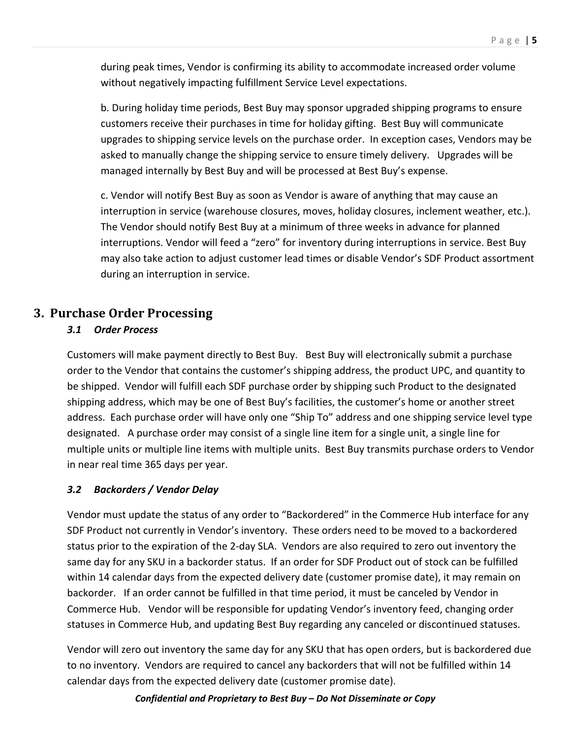during peak times, Vendor is confirming its ability to accommodate increased order volume without negatively impacting fulfillment Service Level expectations.

b. During holiday time periods, Best Buy may sponsor upgraded shipping programs to ensure customers receive their purchases in time for holiday gifting. Best Buy will communicate upgrades to shipping service levels on the purchase order. In exception cases, Vendors may be asked to manually change the shipping service to ensure timely delivery. Upgrades will be managed internally by Best Buy and will be processed at Best Buy's expense.

c. Vendor will notify Best Buy as soon as Vendor is aware of anything that may cause an interruption in service (warehouse closures, moves, holiday closures, inclement weather, etc.). The Vendor should notify Best Buy at a minimum of three weeks in advance for planned interruptions. Vendor will feed a "zero" for inventory during interruptions in service. Best Buy may also take action to adjust customer lead times or disable Vendor's SDF Product assortment during an interruption in service.

#### **3. Purchase Order Processing**

#### *3.1 Order Process*

Customers will make payment directly to Best Buy. Best Buy will electronically submit a purchase order to the Vendor that contains the customer's shipping address, the product UPC, and quantity to be shipped. Vendor will fulfill each SDF purchase order by shipping such Product to the designated shipping address, which may be one of Best Buy's facilities, the customer's home or another street address. Each purchase order will have only one "Ship To" address and one shipping service level type designated. A purchase order may consist of a single line item for a single unit, a single line for multiple units or multiple line items with multiple units. Best Buy transmits purchase orders to Vendor in near real time 365 days per year.

#### *3.2 Backorders / Vendor Delay*

Vendor must update the status of any order to "Backordered" in the Commerce Hub interface for any SDF Product not currently in Vendor's inventory. These orders need to be moved to a backordered status prior to the expiration of the 2-day SLA. Vendors are also required to zero out inventory the same day for any SKU in a backorder status. If an order for SDF Product out of stock can be fulfilled within 14 calendar days from the expected delivery date (customer promise date), it may remain on backorder. If an order cannot be fulfilled in that time period, it must be canceled by Vendor in Commerce Hub. Vendor will be responsible for updating Vendor's inventory feed, changing order statuses in Commerce Hub, and updating Best Buy regarding any canceled or discontinued statuses.

Vendor will zero out inventory the same day for any SKU that has open orders, but is backordered due to no inventory. Vendors are required to cancel any backorders that will not be fulfilled within 14 calendar days from the expected delivery date (customer promise date).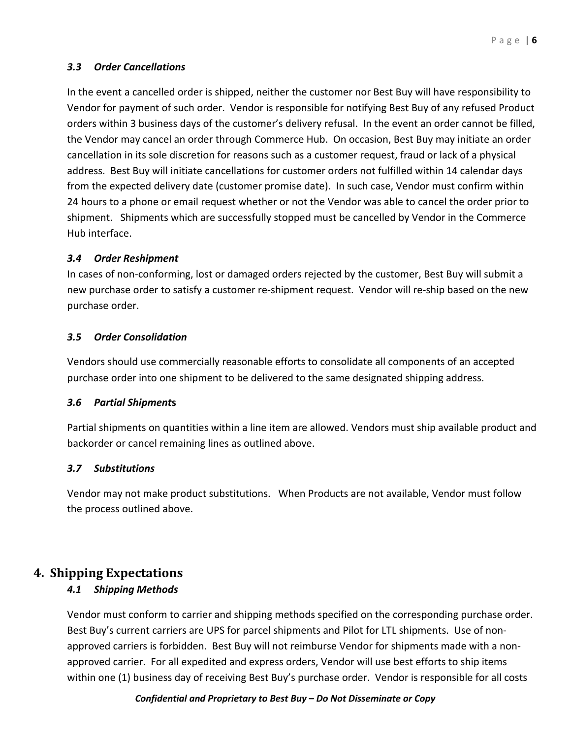#### *3.3 Order Cancellations*

In the event a cancelled order is shipped, neither the customer nor Best Buy will have responsibility to Vendor for payment of such order. Vendor is responsible for notifying Best Buy of any refused Product orders within 3 business days of the customer's delivery refusal. In the event an order cannot be filled, the Vendor may cancel an order through Commerce Hub. On occasion, Best Buy may initiate an order cancellation in its sole discretion for reasons such as a customer request, fraud or lack of a physical address. Best Buy will initiate cancellations for customer orders not fulfilled within 14 calendar days from the expected delivery date (customer promise date). In such case, Vendor must confirm within 24 hours to a phone or email request whether or not the Vendor was able to cancel the order prior to shipment. Shipments which are successfully stopped must be cancelled by Vendor in the Commerce Hub interface.

#### *3.4 Order Reshipment*

In cases of non-conforming, lost or damaged orders rejected by the customer, Best Buy will submit a new purchase order to satisfy a customer re-shipment request. Vendor will re-ship based on the new purchase order.

#### *3.5 Order Consolidation*

Vendors should use commercially reasonable efforts to consolidate all components of an accepted purchase order into one shipment to be delivered to the same designated shipping address.

#### *3.6 Partial Shipment***s**

Partial shipments on quantities within a line item are allowed. Vendors must ship available product and backorder or cancel remaining lines as outlined above.

#### *3.7 Substitutions*

Vendor may not make product substitutions. When Products are not available, Vendor must follow the process outlined above.

# **4. Shipping Expectations**

#### *4.1 Shipping Methods*

Vendor must conform to carrier and shipping methods specified on the corresponding purchase order. Best Buy's current carriers are UPS for parcel shipments and Pilot for LTL shipments. Use of nonapproved carriers is forbidden. Best Buy will not reimburse Vendor for shipments made with a nonapproved carrier. For all expedited and express orders, Vendor will use best efforts to ship items within one (1) business day of receiving Best Buy's purchase order. Vendor is responsible for all costs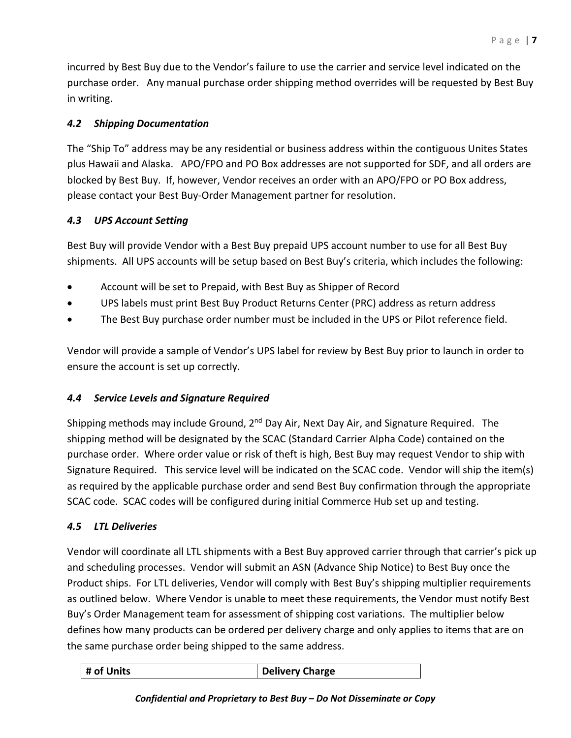incurred by Best Buy due to the Vendor's failure to use the carrier and service level indicated on the purchase order. Any manual purchase order shipping method overrides will be requested by Best Buy in writing.

#### *4.2 Shipping Documentation*

The "Ship To" address may be any residential or business address within the contiguous Unites States plus Hawaii and Alaska. APO/FPO and PO Box addresses are not supported for SDF, and all orders are blocked by Best Buy. If, however, Vendor receives an order with an APO/FPO or PO Box address, please contact your Best Buy-Order Management partner for resolution.

#### *4.3 UPS Account Setting*

Best Buy will provide Vendor with a Best Buy prepaid UPS account number to use for all Best Buy shipments.All UPS accounts will be setup based on Best Buy's criteria, which includes the following:

- Account will be set to Prepaid, with Best Buy as Shipper of Record
- UPS labels must print Best Buy Product Returns Center (PRC) address as return address
- The Best Buy purchase order number must be included in the UPS or Pilot reference field.

Vendor will provide a sample of Vendor's UPS label for review by Best Buy prior to launch in order to ensure the account is set up correctly.

#### *4.4 Service Levels and Signature Required*

Shipping methods may include Ground, 2<sup>nd</sup> Day Air, Next Day Air, and Signature Required. The shipping method will be designated by the SCAC (Standard Carrier Alpha Code) contained on the purchase order. Where order value or risk of theft is high, Best Buy may request Vendor to ship with Signature Required. This service level will be indicated on the SCAC code. Vendor will ship the item(s) as required by the applicable purchase order and send Best Buy confirmation through the appropriate SCAC code. SCAC codes will be configured during initial Commerce Hub set up and testing.

#### *4.5 LTL Deliveries*

Vendor will coordinate all LTL shipments with a Best Buy approved carrier through that carrier's pick up and scheduling processes. Vendor will submit an ASN (Advance Ship Notice) to Best Buy once the Product ships. For LTL deliveries, Vendor will comply with Best Buy's shipping multiplier requirements as outlined below. Where Vendor is unable to meet these requirements, the Vendor must notify Best Buy's Order Management team for assessment of shipping cost variations. The multiplier below defines how many products can be ordered per delivery charge and only applies to items that are on the same purchase order being shipped to the same address.

|  | $\parallel$ # of Units | <b>Delivery Charge</b> |
|--|------------------------|------------------------|
|--|------------------------|------------------------|

#### *Confidential and Proprietary to Best Buy – Do Not Disseminate or Copy*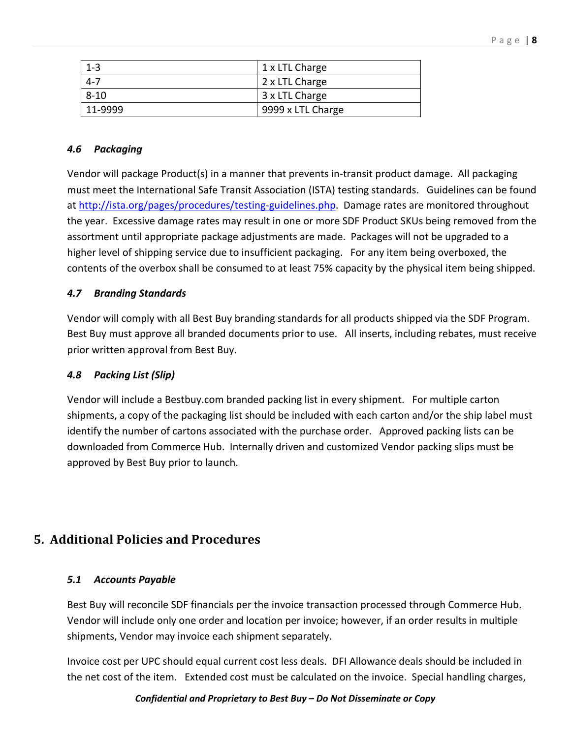| $1 - 3$  | $1x$ LTL Charge   |
|----------|-------------------|
| $4 - 7$  | 2 x LTL Charge    |
| $8 - 10$ | 3 x LTL Charge    |
| 11-9999  | 9999 x LTL Charge |

#### *4.6 Packaging*

Vendor will package Product(s) in a manner that prevents in-transit product damage. All packaging must meet the International Safe Transit Association (ISTA) testing standards. Guidelines can be found at http://ista.org/pages/procedures/testing-guidelines.php. Damage rates are monitored throughout the year. Excessive damage rates may result in one or more SDF Product SKUs being removed from the assortment until appropriate package adjustments are made. Packages will not be upgraded to a higher level of shipping service due to insufficient packaging. For any item being overboxed, the contents of the overbox shall be consumed to at least 75% capacity by the physical item being shipped.

#### *4.7 Branding Standards*

Vendor will comply with all Best Buy branding standards for all products shipped via the SDF Program. Best Buy must approve all branded documents prior to use. All inserts, including rebates, must receive prior written approval from Best Buy.

#### *4.8 Packing List (Slip)*

Vendor will include a Bestbuy.com branded packing list in every shipment. For multiple carton shipments, a copy of the packaging list should be included with each carton and/or the ship label must identify the number of cartons associated with the purchase order. Approved packing lists can be downloaded from Commerce Hub. Internally driven and customized Vendor packing slips must be approved by Best Buy prior to launch.

# **5. Additional Policies and Procedures**

#### *5.1 Accounts Payable*

Best Buy will reconcile SDF financials per the invoice transaction processed through Commerce Hub. Vendor will include only one order and location per invoice; however, if an order results in multiple shipments, Vendor may invoice each shipment separately.

Invoice cost per UPC should equal current cost less deals. DFI Allowance deals should be included in the net cost of the item. Extended cost must be calculated on the invoice. Special handling charges,